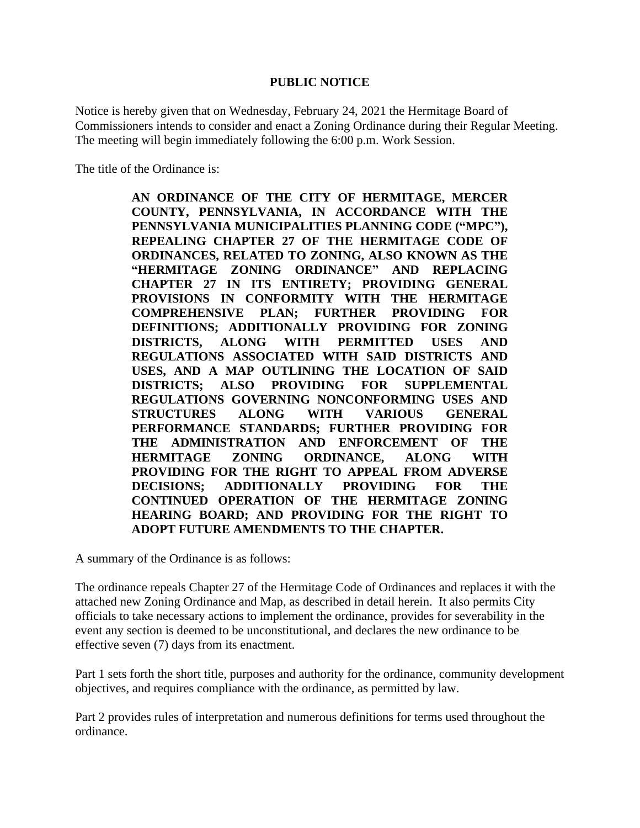## **PUBLIC NOTICE**

Notice is hereby given that on Wednesday, February 24, 2021 the Hermitage Board of Commissioners intends to consider and enact a Zoning Ordinance during their Regular Meeting. The meeting will begin immediately following the 6:00 p.m. Work Session.

The title of the Ordinance is:

**AN ORDINANCE OF THE CITY OF HERMITAGE, MERCER COUNTY, PENNSYLVANIA, IN ACCORDANCE WITH THE PENNSYLVANIA MUNICIPALITIES PLANNING CODE ("MPC"), REPEALING CHAPTER 27 OF THE HERMITAGE CODE OF ORDINANCES, RELATED TO ZONING, ALSO KNOWN AS THE "HERMITAGE ZONING ORDINANCE" AND REPLACING CHAPTER 27 IN ITS ENTIRETY; PROVIDING GENERAL PROVISIONS IN CONFORMITY WITH THE HERMITAGE COMPREHENSIVE PLAN; FURTHER PROVIDING FOR DEFINITIONS; ADDITIONALLY PROVIDING FOR ZONING DISTRICTS, ALONG WITH PERMITTED USES AND REGULATIONS ASSOCIATED WITH SAID DISTRICTS AND USES, AND A MAP OUTLINING THE LOCATION OF SAID DISTRICTS; ALSO PROVIDING FOR SUPPLEMENTAL REGULATIONS GOVERNING NONCONFORMING USES AND STRUCTURES ALONG WITH VARIOUS GENERAL PERFORMANCE STANDARDS; FURTHER PROVIDING FOR THE ADMINISTRATION AND ENFORCEMENT OF THE HERMITAGE ZONING ORDINANCE, ALONG WITH PROVIDING FOR THE RIGHT TO APPEAL FROM ADVERSE DECISIONS; ADDITIONALLY PROVIDING FOR THE CONTINUED OPERATION OF THE HERMITAGE ZONING HEARING BOARD; AND PROVIDING FOR THE RIGHT TO ADOPT FUTURE AMENDMENTS TO THE CHAPTER.**

A summary of the Ordinance is as follows:

The ordinance repeals Chapter 27 of the Hermitage Code of Ordinances and replaces it with the attached new Zoning Ordinance and Map, as described in detail herein. It also permits City officials to take necessary actions to implement the ordinance, provides for severability in the event any section is deemed to be unconstitutional, and declares the new ordinance to be effective seven (7) days from its enactment.

Part 1 sets forth the short title, purposes and authority for the ordinance, community development objectives, and requires compliance with the ordinance, as permitted by law.

Part 2 provides rules of interpretation and numerous definitions for terms used throughout the ordinance.